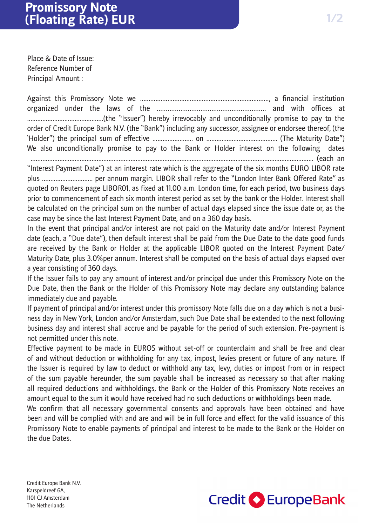Place & Date of Issue: Reference Number of Principal Amount :

Against this Promissory Note we ..........................................................................., a financial institution organized under the laws of the ............................................................ and with offices at .............................................(the "Issuer") hereby irrevocably and unconditionally promise to pay to the order of Credit Europe Bank N.V. (the "Bank") including any successor, assignee or endorsee thereof, (the 'Holder") the principal sum of effective ........................ on .......................................... (The Maturity Date") We also unconditionally promise to pay to the Bank or Holder interest on the following dates ....................................................................................................................................................................... (each an

"Interest Payment Date") at an interest rate which is the aggregate of the six months EURO LIBOR rate plus .............................. per annum margin. LIBOR shall refer to the "London Inter Bank Offered Rate" as quoted on Reuters page LIBOR01, as fixed at 11.00 a.m. London time, for each period, two business days prior to commencement of each six month interest period as set by the bank or the Holder. Interest shall be calculated on the principal sum on the number of actual days elapsed since the issue date or, as the case may be since the last Interest Payment Date, and on a 360 day basis.

In the event that principal and/or interest are not paid on the Maturity date and/or Interest Payment date (each, a "Due date"), then default interest shall be paid from the Due Date to the date good funds are received by the Bank or Holder at the applicable LIBOR quoted on the Interest Payment Date/ Maturity Date, plus 3.0%per annum. Interest shall be computed on the basis of actual days elapsed over a year consisting of 360 days.

If the Issuer fails to pay any amount of interest and/or principal due under this Promissory Note on the Due Date, then the Bank or the Holder of this Promissory Note may declare any outstanding balance immediately due and payable.

If payment of principal and/or interest under this promissory Note falls due on a day which is not a business day in New York, London and/or Amsterdam, such Due Date shall be extended to the next following business day and interest shall accrue and be payable for the period of such extension. Pre-payment is not permitted under this note.

Effective payment to be made in EUROS without set-off or counterclaim and shall be free and clear of and without deduction or withholding for any tax, impost, levies present or future of any nature. If the Issuer is required by law to deduct or withhold any tax, levy, duties or impost from or in respect of the sum payable hereunder, the sum payable shall be increased as necessary so that after making all required deductions and withholdings, the Bank or the Holder of this Promissory Note receives an amount equal to the sum it would have received had no such deductions or withholdings been made.

We confirm that all necessary governmental consents and approvals have been obtained and have been and will be complied with and are and will be in full force and effect for the valid issuance of this Promissory Note to enable payments of principal and interest to be made to the Bank or the Holder on the due Dates.

Credit Europe Bank N.V. Karspeldreef 6A, 1101 CJ Amsterdam The Netherlands

## **Credit C** EuropeBank